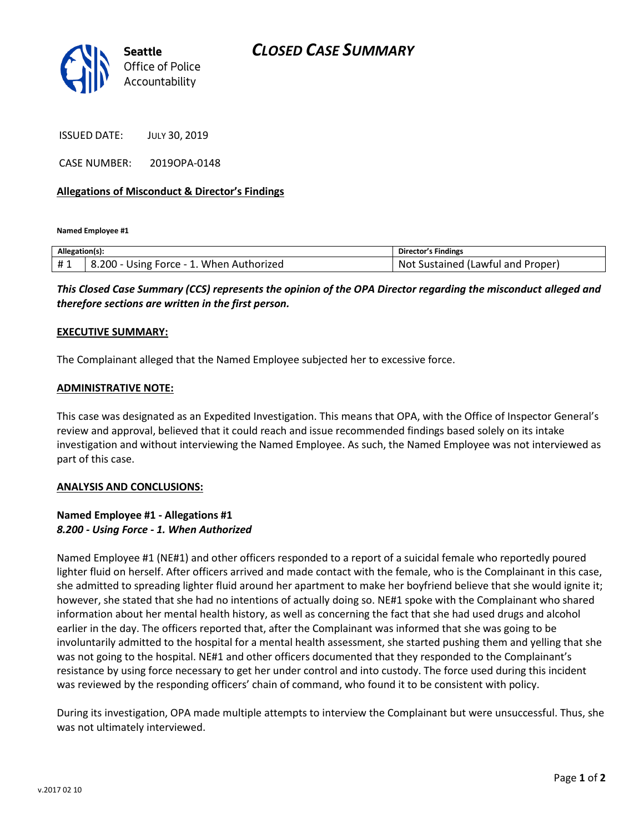

ISSUED DATE: JULY 30, 2019

CASE NUMBER: 2019OPA-0148

# **Allegations of Misconduct & Director's Findings**

**Named Employee #1**

| Allegation(s): |                                                  | Director's Findings                           |
|----------------|--------------------------------------------------|-----------------------------------------------|
| #1             | . When Authorized<br>8.200<br>$Force -$<br>Jsıng | Not<br>i Lawful and<br>Proper<br>Sustained (' |

*This Closed Case Summary (CCS) represents the opinion of the OPA Director regarding the misconduct alleged and therefore sections are written in the first person.* 

## **EXECUTIVE SUMMARY:**

The Complainant alleged that the Named Employee subjected her to excessive force.

### **ADMINISTRATIVE NOTE:**

This case was designated as an Expedited Investigation. This means that OPA, with the Office of Inspector General's review and approval, believed that it could reach and issue recommended findings based solely on its intake investigation and without interviewing the Named Employee. As such, the Named Employee was not interviewed as part of this case.

## **ANALYSIS AND CONCLUSIONS:**

# **Named Employee #1 - Allegations #1** *8.200 - Using Force - 1. When Authorized*

Named Employee #1 (NE#1) and other officers responded to a report of a suicidal female who reportedly poured lighter fluid on herself. After officers arrived and made contact with the female, who is the Complainant in this case, she admitted to spreading lighter fluid around her apartment to make her boyfriend believe that she would ignite it; however, she stated that she had no intentions of actually doing so. NE#1 spoke with the Complainant who shared information about her mental health history, as well as concerning the fact that she had used drugs and alcohol earlier in the day. The officers reported that, after the Complainant was informed that she was going to be involuntarily admitted to the hospital for a mental health assessment, she started pushing them and yelling that she was not going to the hospital. NE#1 and other officers documented that they responded to the Complainant's resistance by using force necessary to get her under control and into custody. The force used during this incident was reviewed by the responding officers' chain of command, who found it to be consistent with policy.

During its investigation, OPA made multiple attempts to interview the Complainant but were unsuccessful. Thus, she was not ultimately interviewed.